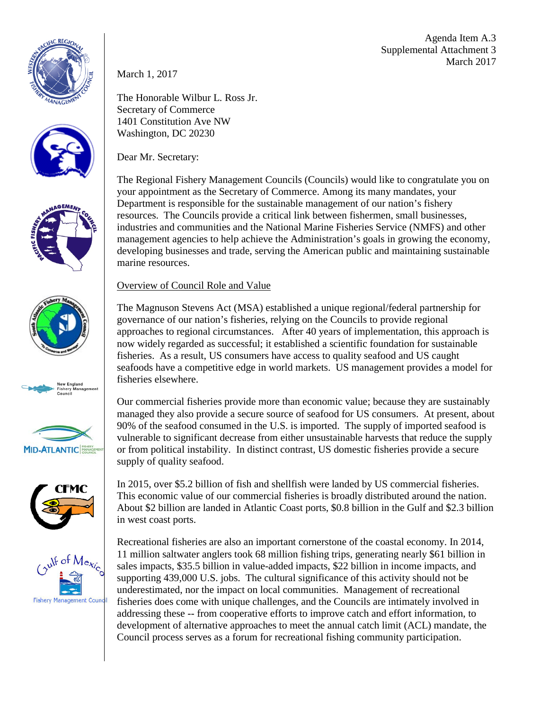Agenda Item A.3 Supplemental Attachment 3 March 2017

















March 1, 2017

The Honorable Wilbur L. Ross Jr. Secretary of Commerce 1401 Constitution Ave NW Washington, DC 20230

Dear Mr. Secretary:

The Regional Fishery Management Councils (Councils) would like to congratulate you on your appointment as the Secretary of Commerce. Among its many mandates, your Department is responsible for the sustainable management of our nation's fishery resources. The Councils provide a critical link between fishermen, small businesses, industries and communities and the National Marine Fisheries Service (NMFS) and other management agencies to help achieve the Administration's goals in growing the economy, developing businesses and trade, serving the American public and maintaining sustainable marine resources.

## Overview of Council Role and Value

The Magnuson Stevens Act (MSA) established a unique regional/federal partnership for governance of our nation's fisheries, relying on the Councils to provide regional approaches to regional circumstances. After 40 years of implementation, this approach is now widely regarded as successful; it established a scientific foundation for sustainable fisheries. As a result, US consumers have access to quality seafood and US caught seafoods have a competitive edge in world markets. US management provides a model for fisheries elsewhere.

Our commercial fisheries provide more than economic value; because they are sustainably managed they also provide a secure source of seafood for US consumers. At present, about 90% of the seafood consumed in the U.S. is imported. The supply of imported seafood is vulnerable to significant decrease from either unsustainable harvests that reduce the supply or from political instability. In distinct contrast, US domestic fisheries provide a secure supply of quality seafood.

In 2015, over \$5.2 billion of fish and shellfish were landed by US commercial fisheries. This economic value of our commercial fisheries is broadly distributed around the nation. About \$2 billion are landed in Atlantic Coast ports, \$0.8 billion in the Gulf and \$2.3 billion in west coast ports.

Recreational fisheries are also an important cornerstone of the coastal economy. In 2014, 11 million saltwater anglers took 68 million fishing trips, generating nearly \$61 billion in sales impacts, \$35.5 billion in value-added impacts, \$22 billion in income impacts, and supporting 439,000 U.S. jobs. The cultural significance of this activity should not be underestimated, nor the impact on local communities. Management of recreational fisheries does come with unique challenges, and the Councils are intimately involved in addressing these -- from cooperative efforts to improve catch and effort information, to development of alternative approaches to meet the annual catch limit (ACL) mandate, the Council process serves as a forum for recreational fishing community participation.